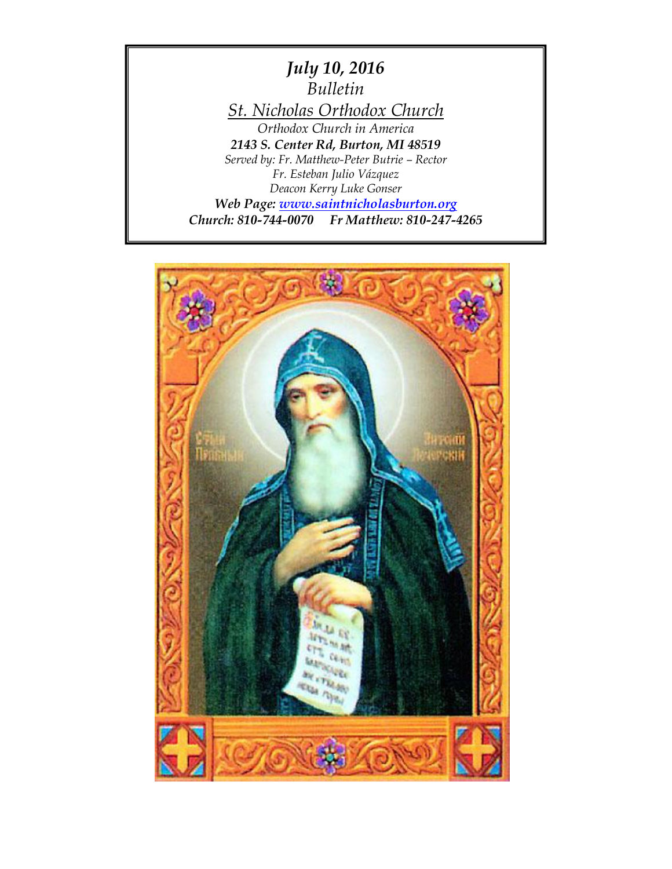

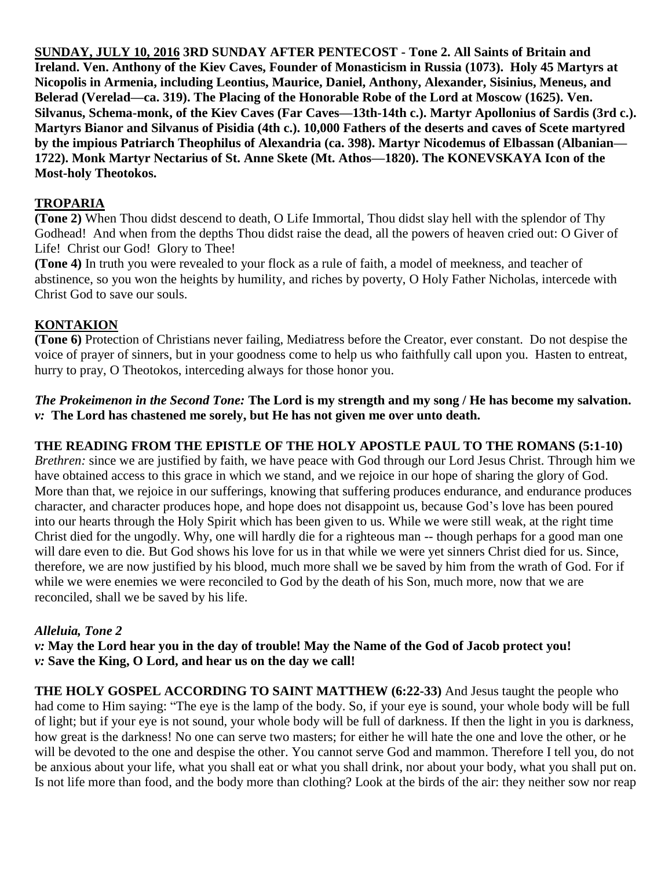**SUNDAY, JULY 10, 2016 3RD SUNDAY AFTER PENTECOST - Tone 2. All Saints of Britain and Ireland. Ven. Anthony of the Kiev Caves, Founder of Monasticism in Russia (1073). Holy 45 Martyrs at Nicopolis in Armenia, including Leontius, Maurice, Daniel, Anthony, Alexander, Sisinius, Meneus, and Belerad (Verelad—ca. 319). The Placing of the Honorable Robe of the Lord at Moscow (1625). Ven. Silvanus, Schema-monk, of the Kiev Caves (Far Caves—13th-14th c.). Martyr Apollonius of Sardis (3rd c.). Martyrs Bianor and Silvanus of Pisidia (4th c.). 10,000 Fathers of the deserts and caves of Scete martyred by the impious Patriarch Theophilus of Alexandria (ca. 398). Martyr Nicodemus of Elbassan (Albanian— 1722). Monk Martyr Nectarius of St. Anne Skete (Mt. Athos—1820). The KONEVSKAYA Icon of the Most-holy Theotokos.**

### **TROPARIA**

**(Tone 2)** When Thou didst descend to death, O Life Immortal, Thou didst slay hell with the splendor of Thy Godhead! And when from the depths Thou didst raise the dead, all the powers of heaven cried out: O Giver of Life! Christ our God! Glory to Thee!

**(Tone 4)** In truth you were revealed to your flock as a rule of faith, a model of meekness, and teacher of abstinence, so you won the heights by humility, and riches by poverty, O Holy Father Nicholas, intercede with Christ God to save our souls.

## **KONTAKION**

**(Tone 6)** Protection of Christians never failing, Mediatress before the Creator, ever constant. Do not despise the voice of prayer of sinners, but in your goodness come to help us who faithfully call upon you. Hasten to entreat, hurry to pray, O Theotokos, interceding always for those honor you.

*The Prokeimenon in the Second Tone:* **The Lord is my strength and my song / He has become my salvation.** *v:* **The Lord has chastened me sorely, but He has not given me over unto death.**

#### **THE READING FROM THE EPISTLE OF THE HOLY APOSTLE PAUL TO THE ROMANS (5:1-10)**

*Brethren:* since we are justified by faith, we have peace with God through our Lord Jesus Christ. Through him we have obtained access to this grace in which we stand, and we rejoice in our hope of sharing the glory of God. More than that, we rejoice in our sufferings, knowing that suffering produces endurance, and endurance produces character, and character produces hope, and hope does not disappoint us, because God's love has been poured into our hearts through the Holy Spirit which has been given to us. While we were still weak, at the right time Christ died for the ungodly. Why, one will hardly die for a righteous man -- though perhaps for a good man one will dare even to die. But God shows his love for us in that while we were yet sinners Christ died for us. Since, therefore, we are now justified by his blood, much more shall we be saved by him from the wrath of God. For if while we were enemies we were reconciled to God by the death of his Son, much more, now that we are reconciled, shall we be saved by his life.

#### *Alleluia, Tone 2*

*v:* **May the Lord hear you in the day of trouble! May the Name of the God of Jacob protect you!** *v:* **Save the King, O Lord, and hear us on the day we call!**

**THE HOLY GOSPEL ACCORDING TO SAINT MATTHEW (6:22-33)** And Jesus taught the people who had come to Him saying: "The eye is the lamp of the body. So, if your eye is sound, your whole body will be full of light; but if your eye is not sound, your whole body will be full of darkness. If then the light in you is darkness, how great is the darkness! No one can serve two masters; for either he will hate the one and love the other, or he will be devoted to the one and despise the other. You cannot serve God and mammon. Therefore I tell you, do not be anxious about your life, what you shall eat or what you shall drink, nor about your body, what you shall put on. Is not life more than food, and the body more than clothing? Look at the birds of the air: they neither sow nor reap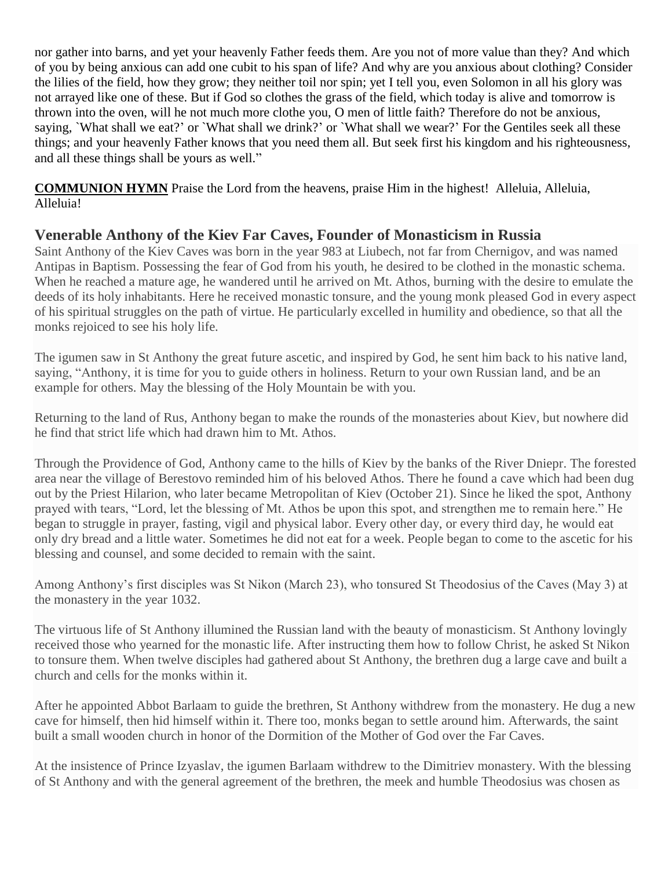nor gather into barns, and yet your heavenly Father feeds them. Are you not of more value than they? And which of you by being anxious can add one cubit to his span of life? And why are you anxious about clothing? Consider the lilies of the field, how they grow; they neither toil nor spin; yet I tell you, even Solomon in all his glory was not arrayed like one of these. But if God so clothes the grass of the field, which today is alive and tomorrow is thrown into the oven, will he not much more clothe you, O men of little faith? Therefore do not be anxious, saying, `What shall we eat?' or `What shall we drink?' or `What shall we wear?' For the Gentiles seek all these things; and your heavenly Father knows that you need them all. But seek first his kingdom and his righteousness, and all these things shall be yours as well."

**COMMUNION HYMN** Praise the Lord from the heavens, praise Him in the highest! Alleluia, Alleluia, Alleluia!

# **Venerable Anthony of the Kiev Far Caves, Founder of Monasticism in Russia**

Saint Anthony of the Kiev Caves was born in the year 983 at Liubech, not far from Chernigov, and was named Antipas in Baptism. Possessing the fear of God from his youth, he desired to be clothed in the monastic schema. When he reached a mature age, he wandered until he arrived on Mt. Athos, burning with the desire to emulate the deeds of its holy inhabitants. Here he received monastic tonsure, and the young monk pleased God in every aspect of his spiritual struggles on the path of virtue. He particularly excelled in humility and obedience, so that all the monks rejoiced to see his holy life.

The igumen saw in St Anthony the great future ascetic, and inspired by God, he sent him back to his native land, saying, "Anthony, it is time for you to guide others in holiness. Return to your own Russian land, and be an example for others. May the blessing of the Holy Mountain be with you.

Returning to the land of Rus, Anthony began to make the rounds of the monasteries about Kiev, but nowhere did he find that strict life which had drawn him to Mt. Athos.

Through the Providence of God, Anthony came to the hills of Kiev by the banks of the River Dniepr. The forested area near the village of Berestovo reminded him of his beloved Athos. There he found a cave which had been dug out by the Priest Hilarion, who later became Metropolitan of Kiev (October 21). Since he liked the spot, Anthony prayed with tears, "Lord, let the blessing of Mt. Athos be upon this spot, and strengthen me to remain here." He began to struggle in prayer, fasting, vigil and physical labor. Every other day, or every third day, he would eat only dry bread and a little water. Sometimes he did not eat for a week. People began to come to the ascetic for his blessing and counsel, and some decided to remain with the saint.

Among Anthony's first disciples was St Nikon (March 23), who tonsured St Theodosius of the Caves (May 3) at the monastery in the year 1032.

The virtuous life of St Anthony illumined the Russian land with the beauty of monasticism. St Anthony lovingly received those who yearned for the monastic life. After instructing them how to follow Christ, he asked St Nikon to tonsure them. When twelve disciples had gathered about St Anthony, the brethren dug a large cave and built a church and cells for the monks within it.

After he appointed Abbot Barlaam to guide the brethren, St Anthony withdrew from the monastery. He dug a new cave for himself, then hid himself within it. There too, monks began to settle around him. Afterwards, the saint built a small wooden church in honor of the Dormition of the Mother of God over the Far Caves.

At the insistence of Prince Izyaslav, the igumen Barlaam withdrew to the Dimitriev monastery. With the blessing of St Anthony and with the general agreement of the brethren, the meek and humble Theodosius was chosen as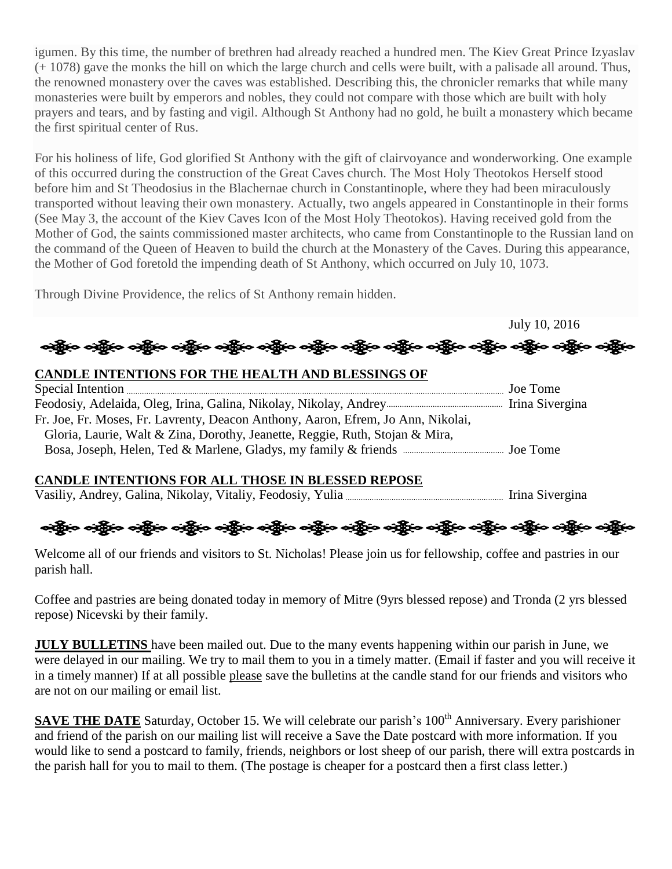igumen. By this time, the number of brethren had already reached a hundred men. The Kiev Great Prince Izyaslav (+ 1078) gave the monks the hill on which the large church and cells were built, with a palisade all around. Thus, the renowned monastery over the caves was established. Describing this, the chronicler remarks that while many monasteries were built by emperors and nobles, they could not compare with those which are built with holy prayers and tears, and by fasting and vigil. Although St Anthony had no gold, he built a monastery which became the first spiritual center of Rus.

For his holiness of life, God glorified St Anthony with the gift of clairvoyance and wonderworking. One example of this occurred during the construction of the Great Caves church. The Most Holy Theotokos Herself stood before him and St Theodosius in the Blachernae church in Constantinople, where they had been miraculously transported without leaving their own monastery. Actually, two angels appeared in Constantinople in their forms (See May 3, the account of the Kiev Caves Icon of the Most Holy Theotokos). Having received gold from the Mother of God, the saints commissioned master architects, who came from Constantinople to the Russian land on the command of the Queen of Heaven to build the church at the Monastery of the Caves. During this appearance, the Mother of God foretold the impending death of St Anthony, which occurred on July 10, 1073.

Through Divine Providence, the relics of St Anthony remain hidden.

July 10, 2016 းရွိပြီး ဝန်ရွိက တွေ့ရှိ ပည်သည်။ ဝန်ရွိက ဝန်ရွက် ဝန်ရွက် ပည်သည်။ ဝန်ရွက် ဝန်ရွက် ဝန်ရွက် ဝန်ရွက် ဝန်ရွက်

## **CANDLE INTENTIONS FOR THE HEALTH AND BLESSINGS OF**

| Fr. Joe, Fr. Moses, Fr. Lavrenty, Deacon Anthony, Aaron, Efrem, Jo Ann, Nikolai, |  |
|----------------------------------------------------------------------------------|--|
| Gloria, Laurie, Walt & Zina, Dorothy, Jeanette, Reggie, Ruth, Stojan & Mira,     |  |
|                                                                                  |  |

#### **CANDLE INTENTIONS FOR ALL THOSE IN BLESSED REPOSE**

Vasiliy, Andrey, Galina, Nikolay, Vitaliy, Feodosiy, Yulia Irina Sivergina

ခရွိက ခရွိက ခရွိမ်ား သို့ အသုံး ခရွိသည့် သည် အသုံး ခရွိသည့် သည် သည် သည် သည် သည် သည် သည် သည်

Welcome all of our friends and visitors to St. Nicholas! Please join us for fellowship, coffee and pastries in our parish hall.

Coffee and pastries are being donated today in memory of Mitre (9yrs blessed repose) and Tronda (2 yrs blessed repose) Nicevski by their family.

**JULY BULLETINS** have been mailed out. Due to the many events happening within our parish in June, we were delayed in our mailing. We try to mail them to you in a timely matter. (Email if faster and you will receive it in a timely manner) If at all possible please save the bulletins at the candle stand for our friends and visitors who are not on our mailing or email list.

**SAVE THE DATE** Saturday, October 15. We will celebrate our parish's 100<sup>th</sup> Anniversary. Every parishioner and friend of the parish on our mailing list will receive a Save the Date postcard with more information. If you would like to send a postcard to family, friends, neighbors or lost sheep of our parish, there will extra postcards in the parish hall for you to mail to them. (The postage is cheaper for a postcard then a first class letter.)